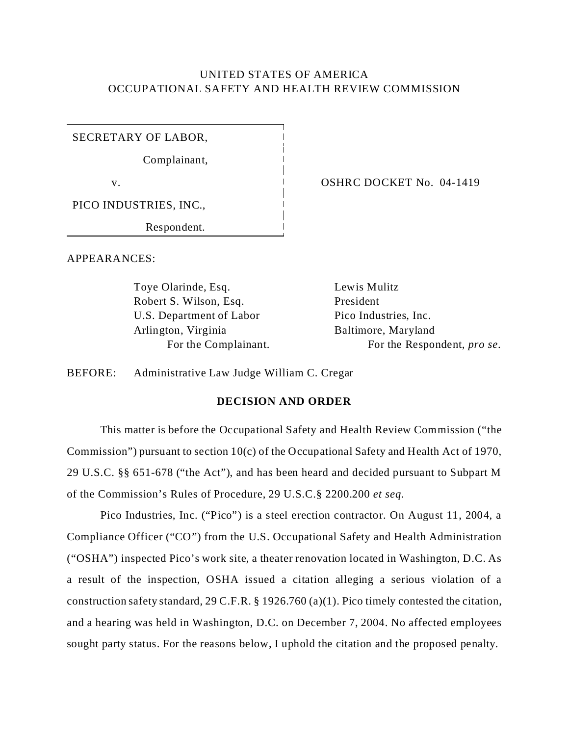# UNITED STATES OF AMERICA OCCUPATIONAL SAFETY AND HEALTH REVIEW COMMISSION

SECRETARY OF LABOR,

Complainant,

PICO INDUSTRIES, INC.,

Respondent.

APPEARANCES:

Toye Olarinde, Esq. Lewis Mulitz Robert S. Wilson, Esq. President U.S. Department of Labor Arlington, Virginia For the Complainant.

v. CONFINGUISHED OSHRC DOCKET No. 04-1419

Pico Industries, Inc. Baltimore, Maryland For the Respondent, *pro se*.

BEFORE: Administrative Law Judge William C. Cregar

## **DECISION AND ORDER**

This matter is before the Occupational Safety and Health Review Commission ("the Commission") pursuant to section 10(c) of the Occupational Safety and Health Act of 1970, 29 U.S.C. §§ 651-678 ("the Act"), and has been heard and decided pursuant to Subpart M of the Commission's Rules of Procedure, 29 U.S.C.§ 2200.200 *et seq.* 

Pico Industries, Inc. ("Pico") is a steel erection contractor. On August 11, 2004, a Compliance Officer ("CO") from the U.S. Occupational Safety and Health Administration ("OSHA") inspected Pico's work site, a theater renovation located in Washington, D.C. As a result of the inspection, OSHA issued a citation alleging a serious violation of a construction safety standard, 29 C.F.R. § 1926.760 (a)(1). Pico timely contested the citation, and a hearing was held in Washington, D.C. on December 7, 2004. No affected employees sought party status. For the reasons below, I uphold the citation and the proposed penalty.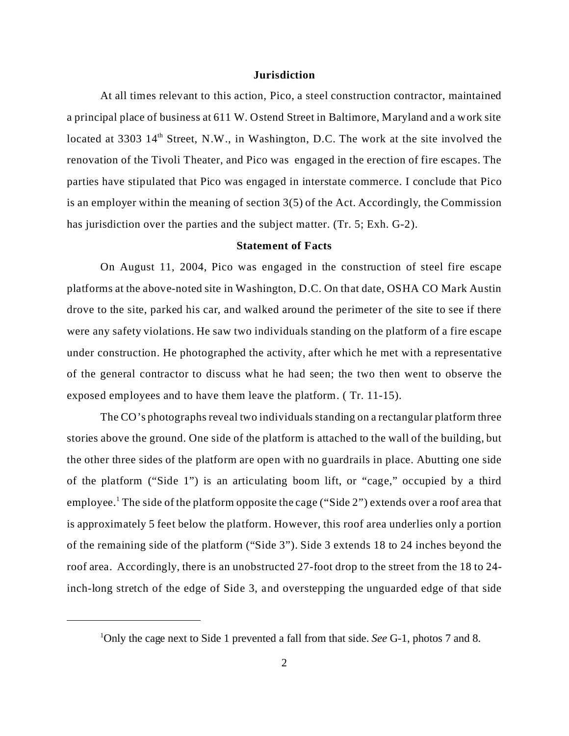#### **Jurisdiction**

At all times relevant to this action, Pico, a steel construction contractor, maintained a principal place of business at 611 W. Ostend Street in Baltimore, Maryland and a work site located at 3303 14<sup>th</sup> Street, N.W., in Washington, D.C. The work at the site involved the renovation of the Tivoli Theater, and Pico was engaged in the erection of fire escapes. The parties have stipulated that Pico was engaged in interstate commerce. I conclude that Pico is an employer within the meaning of section 3(5) of the Act. Accordingly, the Commission has jurisdiction over the parties and the subject matter. (Tr. 5; Exh. G-2).

### **Statement of Facts**

On August 11, 2004, Pico was engaged in the construction of steel fire escape platforms at the above-noted site in Washington, D.C. On that date, OSHA CO Mark Austin drove to the site, parked his car, and walked around the perimeter of the site to see if there were any safety violations. He saw two individuals standing on the platform of a fire escape under construction. He photographed the activity, after which he met with a representative of the general contractor to discuss what he had seen; the two then went to observe the exposed employees and to have them leave the platform. ( Tr. 11-15).

The CO's photographs reveal two individuals standing on a rectangular platform three stories above the ground. One side of the platform is attached to the wall of the building, but the other three sides of the platform are open with no guardrails in place. Abutting one side of the platform ("Side 1") is an articulating boom lift, or "cage," occupied by a third employee.<sup>1</sup> The side of the platform opposite the cage ("Side 2") extends over a roof area that is approximately 5 feet below the platform. However, this roof area underlies only a portion of the remaining side of the platform ("Side 3"). Side 3 extends 18 to 24 inches beyond the roof area. Accordingly, there is an unobstructed 27-foot drop to the street from the 18 to 24 inch-long stretch of the edge of Side 3, and overstepping the unguarded edge of that side

<sup>1</sup> Only the cage next to Side 1 prevented a fall from that side. *See* G-1, photos 7 and 8.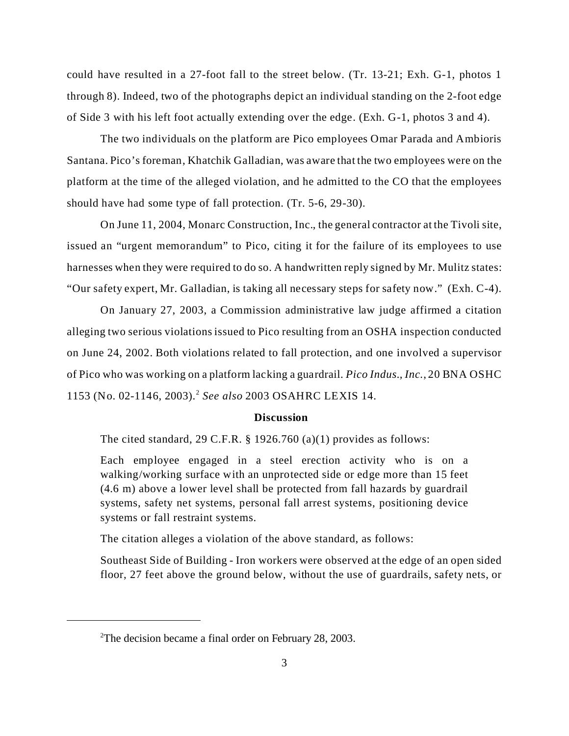could have resulted in a 27-foot fall to the street below. (Tr. 13-21; Exh. G-1, photos 1 through 8). Indeed, two of the photographs depict an individual standing on the 2-foot edge of Side 3 with his left foot actually extending over the edge. (Exh. G-1, photos 3 and 4).

The two individuals on the platform are Pico employees Omar Parada and Ambioris Santana. Pico's foreman, Khatchik Galladian, was aware that the two employees were on the platform at the time of the alleged violation, and he admitted to the CO that the employees should have had some type of fall protection. (Tr. 5-6, 29-30).

On June 11, 2004, Monarc Construction, Inc., the general contractor at the Tivoli site, issued an "urgent memorandum" to Pico, citing it for the failure of its employees to use harnesses when they were required to do so. A handwritten reply signed by Mr. Mulitz states: "Our safety expert, Mr. Galladian, is taking all necessary steps for safety now." (Exh. C-4).

On January 27, 2003, a Commission administrative law judge affirmed a citation alleging two serious violations issued to Pico resulting from an OSHA inspection conducted on June 24, 2002. Both violations related to fall protection, and one involved a supervisor of Pico who was working on a platform lacking a guardrail. *Pico Indus., Inc*., 20 BNA OSHC 1153 (No. 02-1146, 2003).<sup>2</sup>*See also* 2003 OSAHRC LEXIS 14.

#### **Discussion**

The cited standard, 29 C.F.R. § 1926.760 (a)(1) provides as follows:

Each employee engaged in a steel erection activity who is on a walking/working surface with an unprotected side or edge more than 15 feet (4.6 m) above a lower level shall be protected from fall hazards by guardrail systems, safety net systems, personal fall arrest systems, positioning device systems or fall restraint systems.

The citation alleges a violation of the above standard, as follows:

Southeast Side of Building - Iron workers were observed at the edge of an open sided floor, 27 feet above the ground below, without the use of guardrails, safety nets, or

<sup>&</sup>lt;sup>2</sup>The decision became a final order on February 28, 2003.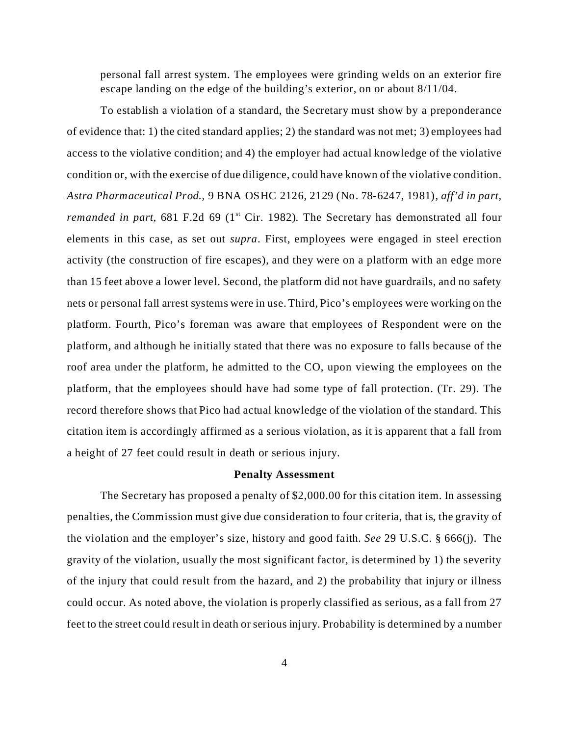personal fall arrest system. The employees were grinding welds on an exterior fire escape landing on the edge of the building's exterior, on or about 8/11/04.

To establish a violation of a standard, the Secretary must show by a preponderance of evidence that: 1) the cited standard applies; 2) the standard was not met; 3) employees had access to the violative condition; and 4) the employer had actual knowledge of the violative condition or, with the exercise of due diligence, could have known of the violative condition. *Astra Pharmaceutical Prod.,* 9 BNA OSHC 2126, 2129 (No. 78-6247, 1981), *aff'd in part, remanded in part*, 681 F.2d 69 ( $1<sup>st</sup>$  Cir. 1982). The Secretary has demonstrated all four elements in this case, as set out *supra*. First, employees were engaged in steel erection activity (the construction of fire escapes), and they were on a platform with an edge more than 15 feet above a lower level. Second, the platform did not have guardrails, and no safety nets or personal fall arrest systems were in use. Third, Pico's employees were working on the platform. Fourth, Pico's foreman was aware that employees of Respondent were on the platform, and although he initially stated that there was no exposure to falls because of the roof area under the platform, he admitted to the CO, upon viewing the employees on the platform, that the employees should have had some type of fall protection. (Tr. 29). The record therefore shows that Pico had actual knowledge of the violation of the standard. This citation item is accordingly affirmed as a serious violation, as it is apparent that a fall from a height of 27 feet could result in death or serious injury.

### **Penalty Assessment**

The Secretary has proposed a penalty of \$2,000.00 for this citation item. In assessing penalties, the Commission must give due consideration to four criteria, that is, the gravity of the violation and the employer's size, history and good faith. *See* 29 U.S.C. § 666(j). The gravity of the violation, usually the most significant factor, is determined by 1) the severity of the injury that could result from the hazard, and 2) the probability that injury or illness could occur. As noted above, the violation is properly classified as serious, as a fall from 27 feet to the street could result in death or serious injury. Probability is determined by a number